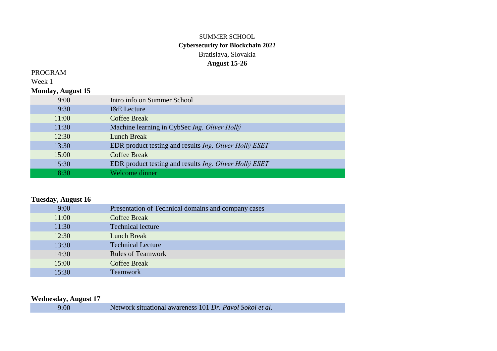### SUMMER SCHOOL **Cybersecurity for Blockchain 2022** Bratislava, Slovakia **August 15-26**

#### PROGRAM

Week 1

#### **Monday, August 15**

| 9:00  | Intro info on Summer School                                   |
|-------|---------------------------------------------------------------|
| 9:30  | <b>I&amp;E</b> Lecture                                        |
| 11:00 | <b>Coffee Break</b>                                           |
| 11:30 | Machine learning in CybSec Ing. Oliver Holly                  |
| 12:30 | <b>Lunch Break</b>                                            |
| 13:30 | EDR product testing and results <i>Ing. Oliver Holly ESET</i> |
| 15:00 | <b>Coffee Break</b>                                           |
| 15:30 | EDR product testing and results <i>Ing. Oliver Holly ESET</i> |
| 18:30 | Welcome dinner                                                |

### **Tuesday, August 16**

| 9:00  | Presentation of Technical domains and company cases |
|-------|-----------------------------------------------------|
| 11:00 | <b>Coffee Break</b>                                 |
| 11:30 | <b>Technical lecture</b>                            |
| 12:30 | <b>Lunch Break</b>                                  |
| 13:30 | <b>Technical Lecture</b>                            |
| 14:30 | <b>Rules of Teamwork</b>                            |
| 15:00 | <b>Coffee Break</b>                                 |
| 15:30 | <b>Teamwork</b>                                     |

### **Wednesday, August 17**

| 9:00 | Network situational awareness 101 Dr. Pavol Sokol et al. |
|------|----------------------------------------------------------|
|------|----------------------------------------------------------|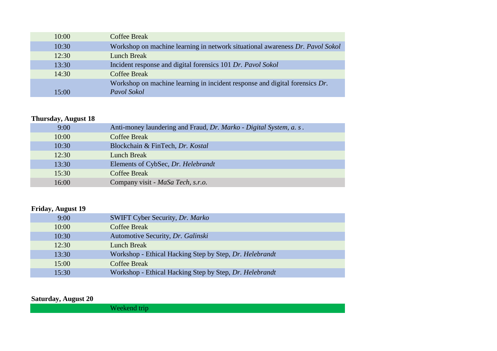| 10:00 | <b>Coffee Break</b>                                                           |
|-------|-------------------------------------------------------------------------------|
| 10:30 | Workshop on machine learning in network situational awareness Dr. Pavol Sokol |
| 12:30 | <b>Lunch Break</b>                                                            |
| 13:30 | Incident response and digital forensics 101 Dr. Pavol Sokol                   |
| 14:30 | Coffee Break                                                                  |
|       | Workshop on machine learning in incident response and digital forensics Dr.   |
| 15:00 | Pavol Sokol                                                                   |

# **Thursday, August 18**

| 9:00  | Anti-money laundering and Fraud, Dr. Marko - Digital System, a. s. |
|-------|--------------------------------------------------------------------|
| 10:00 | <b>Coffee Break</b>                                                |
| 10:30 | Blockchain & FinTech, Dr. Kostal                                   |
| 12:30 | Lunch Break                                                        |
| 13:30 | Elements of CybSec, Dr. Helebrandt                                 |
| 15:30 | <b>Coffee Break</b>                                                |
| 16:00 | Company visit - MaSa Tech, s.r.o.                                  |

# **Friday, August 19**

| 9:00  | SWIFT Cyber Security, Dr. Marko                         |
|-------|---------------------------------------------------------|
| 10:00 | Coffee Break                                            |
| 10:30 | Automotive Security, Dr. Galinski                       |
| 12:30 | <b>Lunch Break</b>                                      |
| 13:30 | Workshop - Ethical Hacking Step by Step, Dr. Helebrandt |
| 15:00 | <b>Coffee Break</b>                                     |
| 15:30 | Workshop - Ethical Hacking Step by Step, Dr. Helebrandt |

**Saturday, August 20**

Weekend trip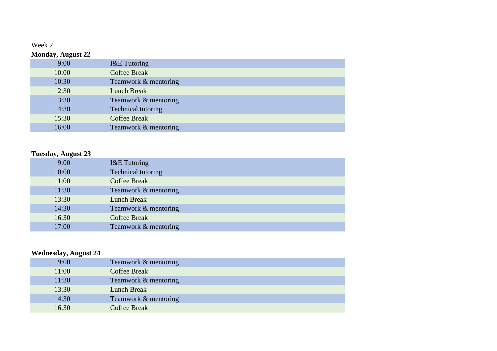# Week 2

| <b>Monday, August 22</b> |                           |
|--------------------------|---------------------------|
| 9:00                     | <b>I&amp;E</b> Tutoring   |
| 10:00                    | <b>Coffee Break</b>       |
| 10:30                    | Teamwork & mentoring      |
| 12:30                    | <b>Lunch Break</b>        |
| 13:30                    | Teamwork & mentoring      |
| 14:30                    | <b>Technical tutoring</b> |
| 15:30                    | <b>Coffee Break</b>       |
| 16:00                    | Teamwork & mentoring      |

## **Tuesday, August 23**

| 9:00  | <b>I&amp;E</b> Tutoring |
|-------|-------------------------|
| 10:00 | Technical tutoring      |
| 11:00 | <b>Coffee Break</b>     |
| 11:30 | Teamwork & mentoring    |
| 13:30 | <b>Lunch Break</b>      |
| 14:30 | Teamwork & mentoring    |
| 16:30 | <b>Coffee Break</b>     |
| 17:00 | Teamwork & mentoring    |

#### **Wednesday, August 24**

| 9:00  | Teamwork & mentoring |
|-------|----------------------|
| 11:00 | <b>Coffee Break</b>  |
| 11:30 | Teamwork & mentoring |
| 13:30 | Lunch Break          |
| 14:30 | Teamwork & mentoring |
| 16:30 | <b>Coffee Break</b>  |